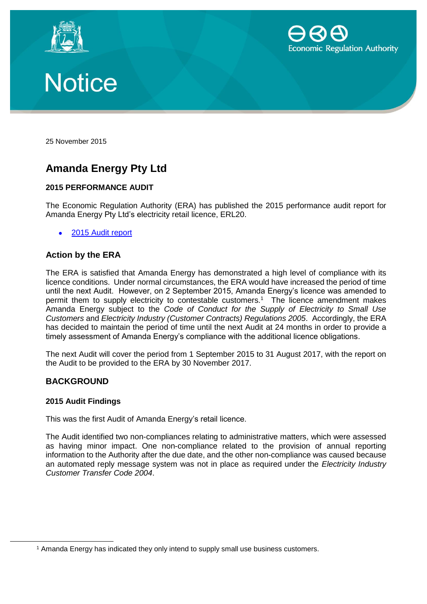





25 November 2015

# **Amanda Energy Pty Ltd**

## **2015 PERFORMANCE AUDIT**

The Economic Regulation Authority (ERA) has published the 2015 performance audit report for Amanda Energy Pty Ltd's electricity retail licence, ERL20.

2015 Audit [report](https://www.erawa.com.au/admin/svr_admin/Common/PortalMaster/Content/Interface/ContentFileAccess.ashx?contentID=13972&recordID=134481&filename=2015%20Performance%20Audit%20Report%20-%20Amanda%20Energy%20Pty%20Ltd%20-%20ERL020.pdf)

## **Action by the ERA**

The ERA is satisfied that Amanda Energy has demonstrated a high level of compliance with its licence conditions. Under normal circumstances, the ERA would have increased the period of time until the next Audit. However, on 2 September 2015, Amanda Energy's licence was amended to permit them to supply electricity to contestable customers.<sup>1</sup> The licence amendment makes Amanda Energy subject to the *Code of Conduct for the Supply of Electricity to Small Use Customers* and *Electricity Industry (Customer Contracts) Regulations 2005*. Accordingly, the ERA has decided to maintain the period of time until the next Audit at 24 months in order to provide a timely assessment of Amanda Energy's compliance with the additional licence obligations.

The next Audit will cover the period from 1 September 2015 to 31 August 2017, with the report on the Audit to be provided to the ERA by 30 November 2017.

### **BACKGROUND**

### **2015 Audit Findings**

This was the first Audit of Amanda Energy's retail licence.

The Audit identified two non-compliances relating to administrative matters, which were assessed as having minor impact. One non-compliance related to the provision of annual reporting information to the Authority after the due date, and the other non-compliance was caused because an automated reply message system was not in place as required under the *Electricity Industry Customer Transfer Code 2004*.

<sup>&</sup>lt;sup>1</sup> Amanda Energy has indicated they only intend to supply small use business customers.